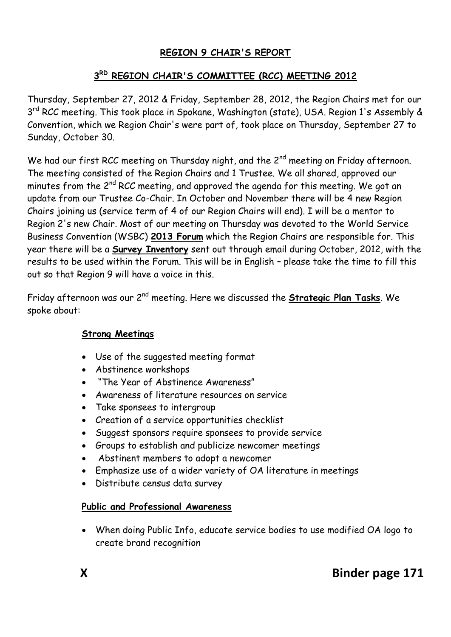# **REGION 9 CHAIR'S REPORT**

## **3 RD REGION CHAIR'S COMMITTEE (RCC) MEETING 2012**

Thursday, September 27, 2012 & Friday, September 28, 2012, the Region Chairs met for our 3<sup>rd</sup> RCC meeting. This took place in Spokane, Washington (state), USA. Region 1's Assembly & Convention, which we Region Chair's were part of, took place on Thursday, September 27 to Sunday, October 30.

We had our first RCC meeting on Thursday night, and the 2<sup>nd</sup> meeting on Friday afternoon. The meeting consisted of the Region Chairs and 1 Trustee. We all shared, approved our minutes from the 2<sup>nd</sup> RCC meeting, and approved the agenda for this meeting. We got an update from our Trustee Co-Chair. In October and November there will be 4 new Region Chairs joining us (service term of 4 of our Region Chairs will end). I will be a mentor to Region 2's new Chair. Most of our meeting on Thursday was devoted to the World Service Business Convention (WSBC) **2013 Forum** which the Region Chairs are responsible for. This year there will be a **Survey Inventory** sent out through email during October, 2012, with the results to be used within the Forum. This will be in English – please take the time to fill this out so that Region 9 will have a voice in this.

Friday afternoon was our 2nd meeting. Here we discussed the **Strategic Plan Tasks**. We spoke about:

#### **Strong Meetings**

- Use of the suggested meeting format
- Abstinence workshops
- "The Year of Abstinence Awareness"
- Awareness of literature resources on service
- Take sponsees to intergroup
- Creation of a service opportunities checklist
- Suggest sponsors require sponsees to provide service
- Groups to establish and publicize newcomer meetings
- Abstinent members to adopt a newcomer
- Emphasize use of a wider variety of OA literature in meetings
- Distribute census data survey

#### **Public and Professional Awareness**

 When doing Public Info, educate service bodies to use modified OA logo to create brand recognition